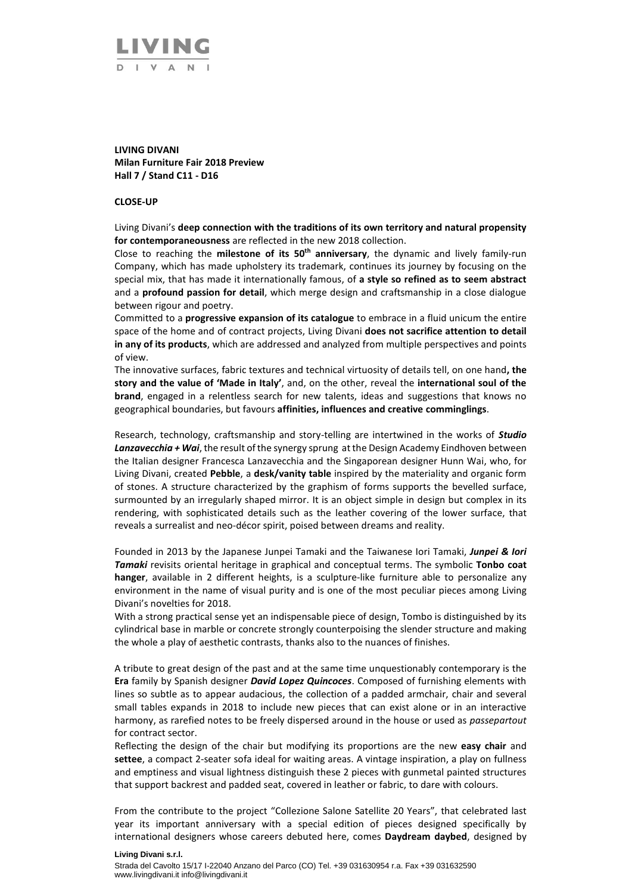

## **LIVING DIVANI Milan Furniture Fair 2018 Preview Hall 7 / Stand C11 - D16**

## **CLOSE-UP**

Living Divani's **deep connection with the traditions of its own territory and natural propensity for contemporaneousness** are reflected in the new 2018 collection.

Close to reaching the **milestone of its 50th anniversary**, the dynamic and lively family-run Company, which has made upholstery its trademark, continues its journey by focusing on the special mix, that has made it internationally famous, of **a style so refined as to seem abstract** and a **profound passion for detail**, which merge design and craftsmanship in a close dialogue between rigour and poetry.

Committed to a **progressive expansion of its catalogue** to embrace in a fluid unicum the entire space of the home and of contract projects, Living Divani **does not sacrifice attention to detail in any of its products**, which are addressed and analyzed from multiple perspectives and points of view.

The innovative surfaces, fabric textures and technical virtuosity of details tell, on one hand**, the story and the value of 'Made in Italy'**, and, on the other, reveal the **international soul of the brand**, engaged in a relentless search for new talents, ideas and suggestions that knows no geographical boundaries, but favours **affinities, influences and creative comminglings**.

Research, technology, craftsmanship and story-telling are intertwined in the works of *Studio Lanzavecchia + Wai*, the result of the synergy sprung at the Design Academy Eindhoven between the Italian designer Francesca Lanzavecchia and the Singaporean designer Hunn Wai, who, for Living Divani, created **Pebble**, a **desk/vanity table** inspired by the materiality and organic form of stones. A structure characterized by the graphism of forms supports the bevelled surface, surmounted by an irregularly shaped mirror. It is an object simple in design but complex in its rendering, with sophisticated details such as the leather covering of the lower surface, that reveals a surrealist and neo-décor spirit, poised between dreams and reality.

Founded in 2013 by the Japanese Junpei Tamaki and the Taiwanese Iori Tamaki, *Junpei & Iori Tamaki* revisits oriental heritage in graphical and conceptual terms. The symbolic **Tonbo coat hanger**, available in 2 different heights, is a sculpture-like furniture able to personalize any environment in the name of visual purity and is one of the most peculiar pieces among Living Divani's novelties for 2018.

With a strong practical sense yet an indispensable piece of design, Tombo is distinguished by its cylindrical base in marble or concrete strongly counterpoising the slender structure and making the whole a play of aesthetic contrasts, thanks also to the nuances of finishes.

A tribute to great design of the past and at the same time unquestionably contemporary is the **Era** family by Spanish designer *David Lopez Quincoces*. Composed of furnishing elements with lines so subtle as to appear audacious, the collection of a padded armchair, chair and several small tables expands in 2018 to include new pieces that can exist alone or in an interactive harmony, as rarefied notes to be freely dispersed around in the house or used as *passepartout* for contract sector.

Reflecting the design of the chair but modifying its proportions are the new **easy chair** and **settee**, a compact 2-seater sofa ideal for waiting areas. A vintage inspiration, a play on fullness and emptiness and visual lightness distinguish these 2 pieces with gunmetal painted structures that support backrest and padded seat, covered in leather or fabric, to dare with colours.

From the contribute to the project "Collezione Salone Satellite 20 Years", that celebrated last year its important anniversary with a special edition of pieces designed specifically by international designers whose careers debuted here, comes **Daydream daybed**, designed by

## **Living Divani s.r.l.** Strada del Cavolto 15/17 I-22040 Anzano del Parco (CO) Tel. +39 031630954 r.a. Fax +39 031632590 www.livingdivani.it info@livingdivani.it